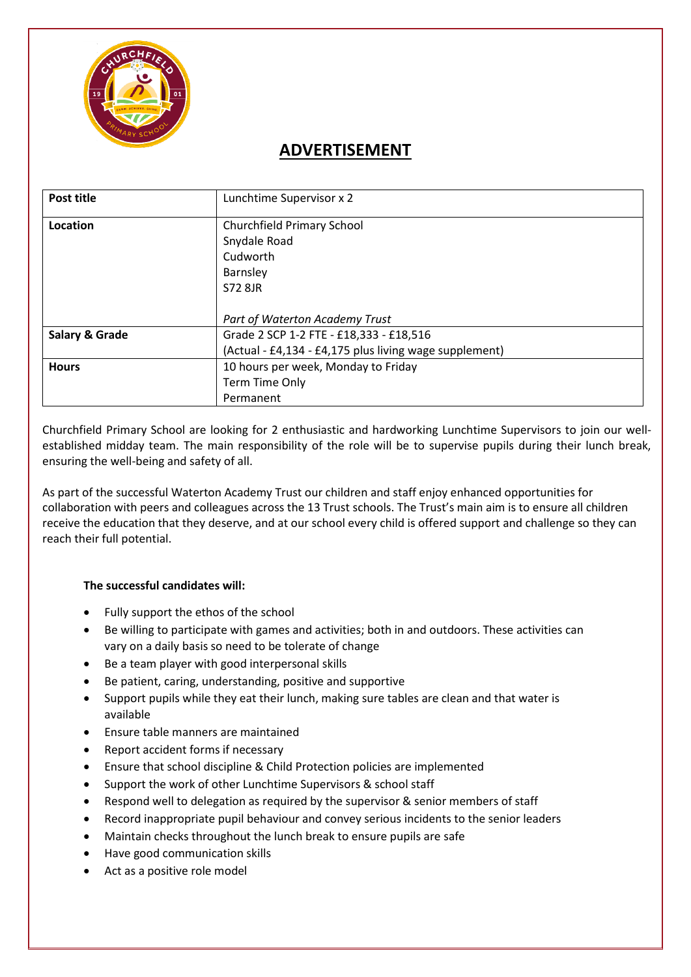

# **ADVERTISEMENT**

| Post title     | Lunchtime Supervisor x 2                               |  |
|----------------|--------------------------------------------------------|--|
| Location       | Churchfield Primary School                             |  |
|                | Snydale Road                                           |  |
|                | Cudworth                                               |  |
|                | <b>Barnsley</b>                                        |  |
|                | S72 8JR                                                |  |
|                |                                                        |  |
|                | Part of Waterton Academy Trust                         |  |
| Salary & Grade | Grade 2 SCP 1-2 FTE - £18,333 - £18,516                |  |
|                | (Actual - £4,134 - £4,175 plus living wage supplement) |  |
| <b>Hours</b>   | 10 hours per week, Monday to Friday                    |  |
|                | Term Time Only                                         |  |
|                | Permanent                                              |  |

Churchfield Primary School are looking for 2 enthusiastic and hardworking Lunchtime Supervisors to join our wellestablished midday team. The main responsibility of the role will be to supervise pupils during their lunch break, ensuring the well-being and safety of all.

As part of the successful Waterton Academy Trust our children and staff enjoy enhanced opportunities for collaboration with peers and colleagues across the 13 Trust schools. The Trust's main aim is to ensure all children receive the education that they deserve, and at our school every child is offered support and challenge so they can reach their full potential.

## **The successful candidates will:**

- Fully support the ethos of the school
- Be willing to participate with games and activities; both in and outdoors. These activities can vary on a daily basis so need to be tolerate of change
- Be a team player with good interpersonal skills
- Be patient, caring, understanding, positive and supportive
- Support pupils while they eat their lunch, making sure tables are clean and that water is available
- Ensure table manners are maintained
- Report accident forms if necessary
- Ensure that school discipline & Child Protection policies are implemented
- Support the work of other Lunchtime Supervisors & school staff
- Respond well to delegation as required by the supervisor & senior members of staff
- Record inappropriate pupil behaviour and convey serious incidents to the senior leaders
- Maintain checks throughout the lunch break to ensure pupils are safe
- Have good communication skills
- Act as a positive role model